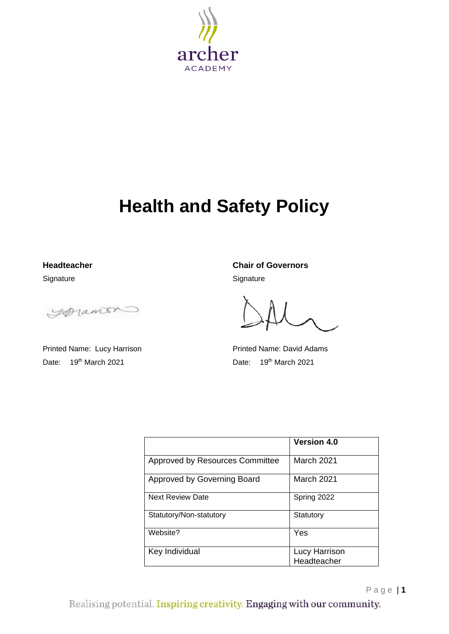

# **Health and Safety Policy**

Signature Signature Signature

Loranon

Date: 19<sup>th</sup> March 2021 **Date: 19<sup>th</sup> March 2021** 

**Headteacher Chair of Governors**

Printed Name: Lucy Harrison **Printed Name: David Adams** 

|                                 | <b>Version 4.0</b>           |
|---------------------------------|------------------------------|
| Approved by Resources Committee | March 2021                   |
| Approved by Governing Board     | March 2021                   |
| <b>Next Review Date</b>         | Spring 2022                  |
| Statutory/Non-statutory         | Statutory                    |
| Website?                        | Yes                          |
| Key Individual                  | Lucy Harrison<br>Headteacher |

Page | **1**

Realising potential. Inspiring creativity. Engaging with our community.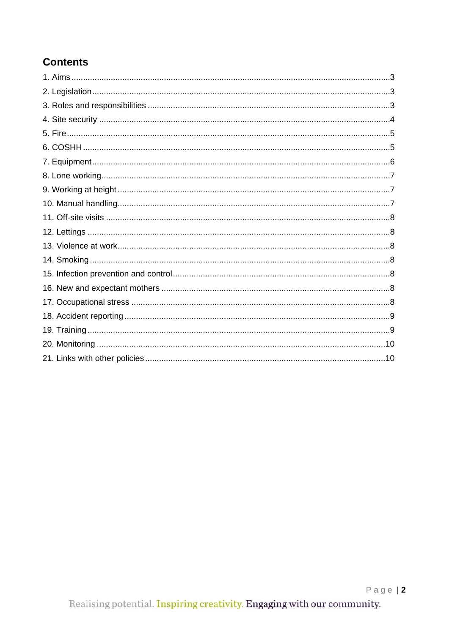# **Contents**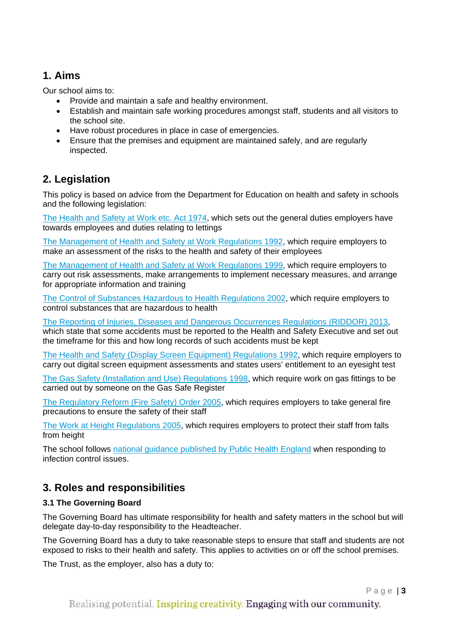# **1. Aims**

Our school aims to:

- Provide and maintain a safe and healthy environment.
- Establish and maintain safe working procedures amongst staff, students and all visitors to the school site.
- Have robust procedures in place in case of emergencies.
- Ensure that the premises and equipment are maintained safely, and are regularly inspected.

# **2. Legislation**

This policy is based on advice from the Department for Education on health and safety in schools and the following legislation:

[The Health and Safety at Work etc. Act 1974,](http://www.legislation.gov.uk/ukpga/1974/37) which sets out the general duties employers have towards employees and duties relating to lettings

[The Management of Health and Safety at Work Regulations 1992,](http://www.legislation.gov.uk/uksi/1992/2051/regulation/3/made) which require employers to make an assessment of the risks to the health and safety of their employees

The Management [of Health and Safety at Work Regulations 1999,](http://www.legislation.gov.uk/uksi/1999/3242/contents/made) which require employers to carry out risk assessments, make arrangements to implement necessary measures, and arrange for appropriate information and training

[The Control of Substances Hazardous to Health Regulations 2002,](http://www.legislation.gov.uk/uksi/2002/2677/contents/made) which require employers to control substances that are hazardous to health

[The Reporting of Injuries, Diseases and Dangerous Occurrences Regulations](http://www.legislation.gov.uk/uksi/2013/1471/schedule/1/paragraph/1/made) (RIDDOR) 2013, which state that some accidents must be reported to the Health and Safety Executive and set out the timeframe for this and how long records of such accidents must be kept

[The Health and Safety \(Display Screen Equipment\) Regulations 1992,](http://www.legislation.gov.uk/uksi/1992/2792/contents/made) which require employers to carry out digital screen equipment assessments and states users' entitlement to an eyesight test

[The Gas Safety \(Installation and Use\) Regulations 1998,](http://www.legislation.gov.uk/uksi/1998/2451/regulation/4/made) which require work on gas fittings to be carried out by someone on the Gas Safe Register

[The Regulatory Reform \(Fire Safety\) Order 2005,](http://www.legislation.gov.uk/uksi/2005/1541/part/2/made) which requires employers to take general fire precautions to ensure the safety of their staff

[The Work at Height Regulations 2005,](http://www.legislation.gov.uk/uksi/2005/735/contents/made) which requires employers to protect their staff from falls from height

The school follows [national guidance published by Public Health England](https://www.gov.uk/government/publications/health-protection-in-schools-and-other-childcare-facilities/chapter-9-managing-specific-infectious-diseases) when responding to infection control issues.

# **3. Roles and responsibilities**

### **3.1 The Governing Board**

The Governing Board has ultimate responsibility for health and safety matters in the school but will delegate day-to-day responsibility to the Headteacher.

The Governing Board has a duty to take reasonable steps to ensure that staff and students are not exposed to risks to their health and safety. This applies to activities on or off the school premises.

The Trust, as the employer, also has a duty to: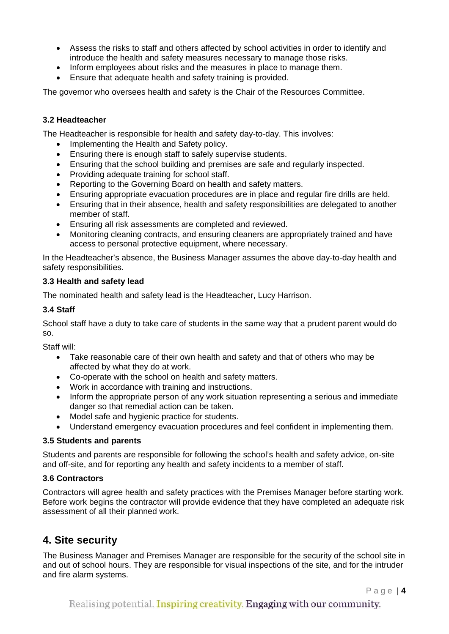- Assess the risks to staff and others affected by school activities in order to identify and introduce the health and safety measures necessary to manage those risks.
- Inform employees about risks and the measures in place to manage them.
- Ensure that adequate health and safety training is provided.

The governor who oversees health and safety is the Chair of the Resources Committee.

#### **3.2 Headteacher**

The Headteacher is responsible for health and safety day-to-day. This involves:

- Implementing the Health and Safety policy.
- Ensuring there is enough staff to safely supervise students.
- Ensuring that the school building and premises are safe and regularly inspected.
- Providing adequate training for school staff.
- Reporting to the Governing Board on health and safety matters.
- Ensuring appropriate evacuation procedures are in place and regular fire drills are held.
- Ensuring that in their absence, health and safety responsibilities are delegated to another member of staff.
- Ensuring all risk assessments are completed and reviewed.
- Monitoring cleaning contracts, and ensuring cleaners are appropriately trained and have access to personal protective equipment, where necessary.

In the Headteacher's absence, the Business Manager assumes the above day-to-day health and safety responsibilities.

#### **3.3 Health and safety lead**

The nominated health and safety lead is the Headteacher, Lucy Harrison.

#### **3.4 Staff**

School staff have a duty to take care of students in the same way that a prudent parent would do so.

Staff will:

- Take reasonable care of their own health and safety and that of others who may be affected by what they do at work.
- Co-operate with the school on health and safety matters.
- Work in accordance with training and instructions.
- Inform the appropriate person of any work situation representing a serious and immediate danger so that remedial action can be taken.
- Model safe and hygienic practice for students.
- Understand emergency evacuation procedures and feel confident in implementing them.

#### **3.5 Students and parents**

Students and parents are responsible for following the school's health and safety advice, on-site and off-site, and for reporting any health and safety incidents to a member of staff.

#### **3.6 Contractors**

Contractors will agree health and safety practices with the Premises Manager before starting work. Before work begins the contractor will provide evidence that they have completed an adequate risk assessment of all their planned work.

### **4. Site security**

The Business Manager and Premises Manager are responsible for the security of the school site in and out of school hours. They are responsible for visual inspections of the site, and for the intruder and fire alarm systems.

Page | **4**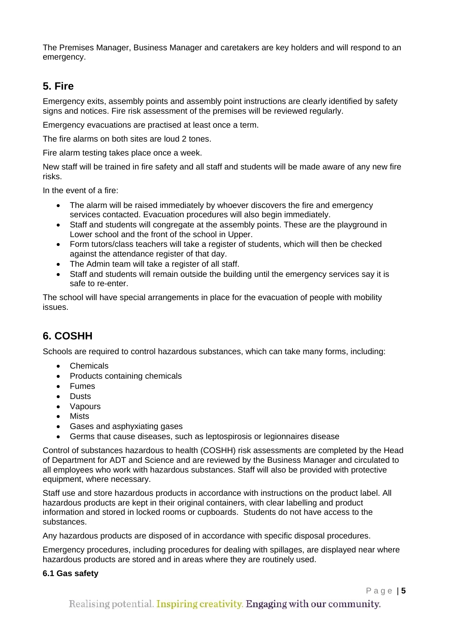The Premises Manager, Business Manager and caretakers are key holders and will respond to an emergency.

# **5. Fire**

Emergency exits, assembly points and assembly point instructions are clearly identified by safety signs and notices. Fire risk assessment of the premises will be reviewed regularly.

Emergency evacuations are practised at least once a term.

The fire alarms on both sites are loud 2 tones.

Fire alarm testing takes place once a week.

New staff will be trained in fire safety and all staff and students will be made aware of any new fire risks.

In the event of a fire:

- The alarm will be raised immediately by whoever discovers the fire and emergency services contacted. Evacuation procedures will also begin immediately.
- Staff and students will congregate at the assembly points. These are the playground in Lower school and the front of the school in Upper.
- Form tutors/class teachers will take a register of students, which will then be checked against the attendance register of that day.
- The Admin team will take a register of all staff.
- Staff and students will remain outside the building until the emergency services say it is safe to re-enter.

The school will have special arrangements in place for the evacuation of people with mobility issues.

# **6. COSHH**

Schools are required to control hazardous substances, which can take many forms, including:

- Chemicals
- Products containing chemicals
- Fumes
- Dusts
- Vapours
- Mists
- Gases and asphyxiating gases
- Germs that cause diseases, such as leptospirosis or legionnaires disease

Control of substances hazardous to health (COSHH) risk assessments are completed by the Head of Department for ADT and Science and are reviewed by the Business Manager and circulated to all employees who work with hazardous substances. Staff will also be provided with protective equipment, where necessary.

Staff use and store hazardous products in accordance with instructions on the product label. All hazardous products are kept in their original containers, with clear labelling and product information and stored in locked rooms or cupboards. Students do not have access to the substances.

Any hazardous products are disposed of in accordance with specific disposal procedures.

Emergency procedures, including procedures for dealing with spillages, are displayed near where hazardous products are stored and in areas where they are routinely used.

#### **6.1 Gas safety**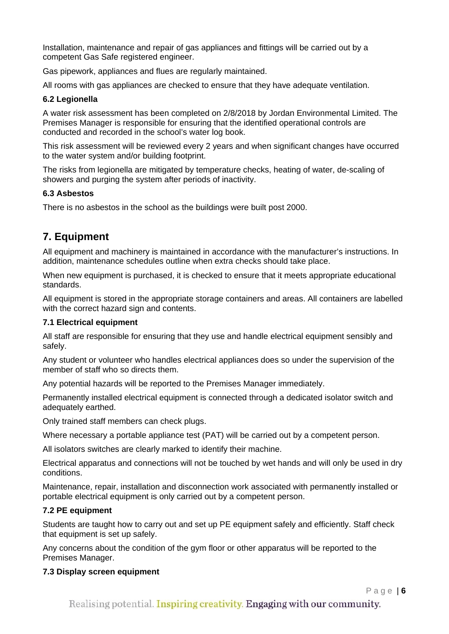Installation, maintenance and repair of gas appliances and fittings will be carried out by a competent Gas Safe registered engineer.

Gas pipework, appliances and flues are regularly maintained.

All rooms with gas appliances are checked to ensure that they have adequate ventilation.

#### **6.2 Legionella**

A water risk assessment has been completed on 2/8/2018 by Jordan Environmental Limited. The Premises Manager is responsible for ensuring that the identified operational controls are conducted and recorded in the school's water log book.

This risk assessment will be reviewed every 2 years and when significant changes have occurred to the water system and/or building footprint.

The risks from legionella are mitigated by temperature checks, heating of water, de-scaling of showers and purging the system after periods of inactivity.

#### **6.3 Asbestos**

There is no asbestos in the school as the buildings were built post 2000.

# **7. Equipment**

All equipment and machinery is maintained in accordance with the manufacturer's instructions. In addition, maintenance schedules outline when extra checks should take place.

When new equipment is purchased, it is checked to ensure that it meets appropriate educational standards.

All equipment is stored in the appropriate storage containers and areas. All containers are labelled with the correct hazard sign and contents.

#### **7.1 Electrical equipment**

All staff are responsible for ensuring that they use and handle electrical equipment sensibly and safely.

Any student or volunteer who handles electrical appliances does so under the supervision of the member of staff who so directs them.

Any potential hazards will be reported to the Premises Manager immediately.

Permanently installed electrical equipment is connected through a dedicated isolator switch and adequately earthed.

Only trained staff members can check plugs.

Where necessary a portable appliance test (PAT) will be carried out by a competent person.

All isolators switches are clearly marked to identify their machine.

Electrical apparatus and connections will not be touched by wet hands and will only be used in dry conditions.

Maintenance, repair, installation and disconnection work associated with permanently installed or portable electrical equipment is only carried out by a competent person.

#### **7.2 PE equipment**

Students are taught how to carry out and set up PE equipment safely and efficiently. Staff check that equipment is set up safely.

Any concerns about the condition of the gym floor or other apparatus will be reported to the Premises Manager.

#### **7.3 Display screen equipment**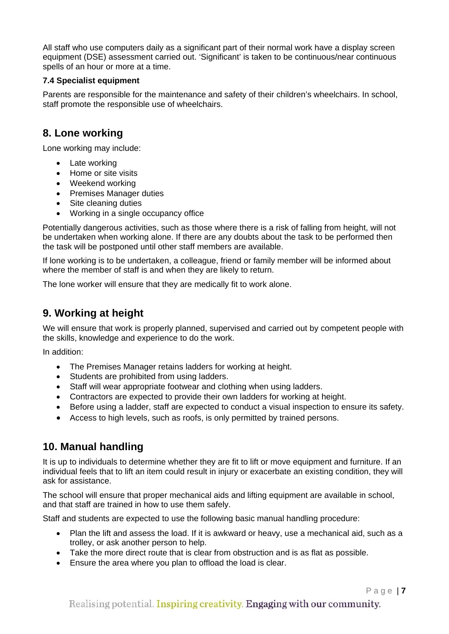All staff who use computers daily as a significant part of their normal work have a display screen equipment (DSE) assessment carried out. 'Significant' is taken to be continuous/near continuous spells of an hour or more at a time.

#### **7.4 Specialist equipment**

Parents are responsible for the maintenance and safety of their children's wheelchairs. In school, staff promote the responsible use of wheelchairs.

### **8. Lone working**

Lone working may include:

- Late working
- Home or site visits
- Weekend working
- Premises Manager duties
- Site cleaning duties
- Working in a single occupancy office

Potentially dangerous activities, such as those where there is a risk of falling from height, will not be undertaken when working alone. If there are any doubts about the task to be performed then the task will be postponed until other staff members are available.

If lone working is to be undertaken, a colleague, friend or family member will be informed about where the member of staff is and when they are likely to return.

The lone worker will ensure that they are medically fit to work alone.

### **9. Working at height**

We will ensure that work is properly planned, supervised and carried out by competent people with the skills, knowledge and experience to do the work.

In addition:

- The Premises Manager retains ladders for working at height.
- Students are prohibited from using ladders.
- Staff will wear appropriate footwear and clothing when using ladders.
- Contractors are expected to provide their own ladders for working at height.
- Before using a ladder, staff are expected to conduct a visual inspection to ensure its safety.
- Access to high levels, such as roofs, is only permitted by trained persons.

### **10. Manual handling**

It is up to individuals to determine whether they are fit to lift or move equipment and furniture. If an individual feels that to lift an item could result in injury or exacerbate an existing condition, they will ask for assistance.

The school will ensure that proper mechanical aids and lifting equipment are available in school, and that staff are trained in how to use them safely.

Staff and students are expected to use the following basic manual handling procedure:

- Plan the lift and assess the load. If it is awkward or heavy, use a mechanical aid, such as a trolley, or ask another person to help.
- Take the more direct route that is clear from obstruction and is as flat as possible.
- Ensure the area where you plan to offload the load is clear.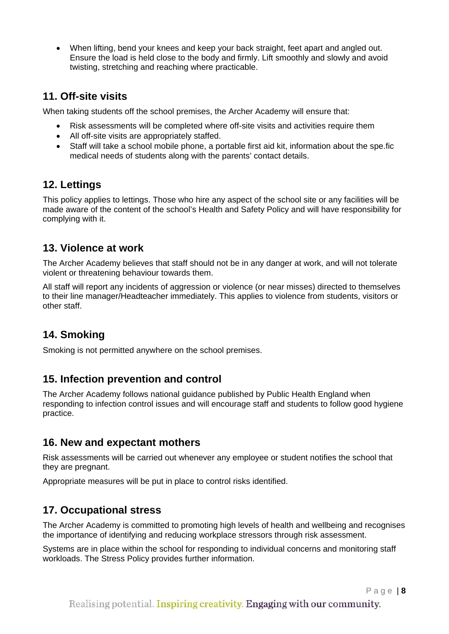• When lifting, bend your knees and keep your back straight, feet apart and angled out. Ensure the load is held close to the body and firmly. Lift smoothly and slowly and avoid twisting, stretching and reaching where practicable.

### **11. Off-site visits**

When taking students off the school premises, the Archer Academy will ensure that:

- Risk assessments will be completed where off-site visits and activities require them
- All off-site visits are appropriately staffed.
- Staff will take a school mobile phone, a portable first aid kit, information about the spe.fic medical needs of students along with the parents' contact details.

### **12. Lettings**

This policy applies to lettings. Those who hire any aspect of the school site or any facilities will be made aware of the content of the school's Health and Safety Policy and will have responsibility for complying with it.

### **13. Violence at work**

The Archer Academy believes that staff should not be in any danger at work, and will not tolerate violent or threatening behaviour towards them.

All staff will report any incidents of aggression or violence (or near misses) directed to themselves to their line manager/Headteacher immediately. This applies to violence from students, visitors or other staff.

# **14. Smoking**

Smoking is not permitted anywhere on the school premises.

### **15. Infection prevention and control**

The Archer Academy follows national guidance published by Public Health England when responding to infection control issues and will encourage staff and students to follow good hygiene practice.

### **16. New and expectant mothers**

Risk assessments will be carried out whenever any employee or student notifies the school that they are pregnant.

Appropriate measures will be put in place to control risks identified.

### **17. Occupational stress**

The Archer Academy is committed to promoting high levels of health and wellbeing and recognises the importance of identifying and reducing workplace stressors through risk assessment.

Systems are in place within the school for responding to individual concerns and monitoring staff workloads. The Stress Policy provides further information.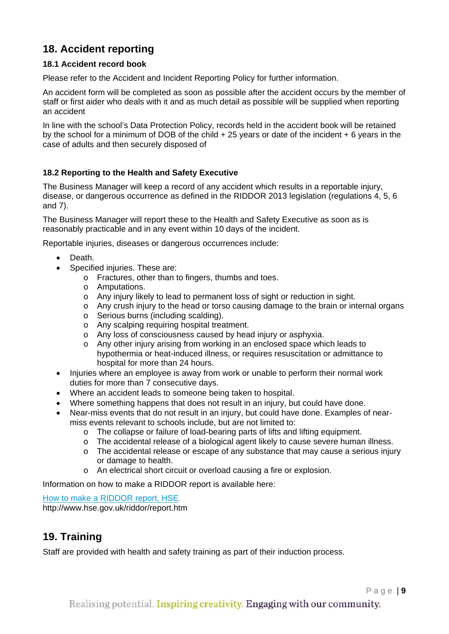# **18. Accident reporting**

#### **18.1 Accident record book**

Please refer to the Accident and Incident Reporting Policy for further information.

An accident form will be completed as soon as possible after the accident occurs by the member of staff or first aider who deals with it and as much detail as possible will be supplied when reporting an accident

In line with the school's Data Protection Policy, records held in the accident book will be retained by the school for a minimum of DOB of the child + 25 years or date of the incident + 6 years in the case of adults and then securely disposed of

#### **18.2 Reporting to the Health and Safety Executive**

The Business Manager will keep a record of any accident which results in a reportable injury, disease, or dangerous occurrence as defined in the RIDDOR 2013 legislation (regulations 4, 5, 6 and 7).

The Business Manager will report these to the Health and Safety Executive as soon as is reasonably practicable and in any event within 10 days of the incident.

Reportable injuries, diseases or dangerous occurrences include:

- Death.
- Specified injuries. These are:
	- o Fractures, other than to fingers, thumbs and toes.
	- o Amputations.
	- o Any injury likely to lead to permanent loss of sight or reduction in sight.
	- $\circ$  Any crush injury to the head or torso causing damage to the brain or internal organs
	- o Serious burns (including scalding).
	- o Any scalping requiring hospital treatment.
	- o Any loss of consciousness caused by head injury or asphyxia.
	- o Any other injury arising from working in an enclosed space which leads to hypothermia or heat-induced illness, or requires resuscitation or admittance to hospital for more than 24 hours.
- Injuries where an employee is away from work or unable to perform their normal work duties for more than 7 consecutive days.
- Where an accident leads to someone being taken to hospital.
- Where something happens that does not result in an injury, but could have done.
- Near-miss events that do not result in an injury, but could have done. Examples of nearmiss events relevant to schools include, but are not limited to:
	- o The collapse or failure of load-bearing parts of lifts and lifting equipment.
	- o The accidental release of a biological agent likely to cause severe human illness.
	- o The accidental release or escape of any substance that may cause a serious injury or damage to health.
	- o An electrical short circuit or overload causing a fire or explosion.

Information on how to make a RIDDOR report is available here:

[How to make a RIDDOR report, HSE](http://www.hse.gov.uk/riddor/report.htm)

http://www.hse.gov.uk/riddor/report.htm

### **19. Training**

Staff are provided with health and safety training as part of their induction process.